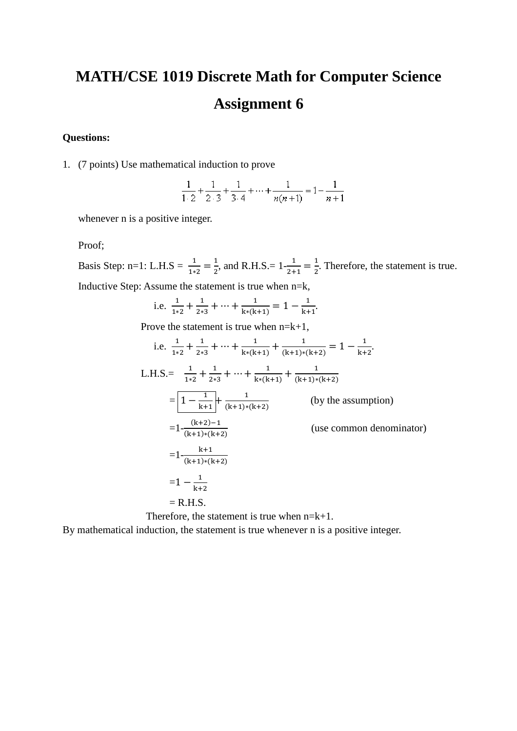## **MATH/CSE 1019 Discrete Math for Computer Science Assignment 6**

## **Questions:**

1. (7 points) Use mathematical induction to prove

|                   | —— + —— + —— + ··· + ———— = 1 – —— |       |
|-------------------|------------------------------------|-------|
| $1.2$ $2.3$ $3.4$ | $n(n+1)$                           | $n+1$ |

whenever n is a positive integer.

Proof;

Basis Step: n=1: L.H.S =  $\frac{1}{1*2} = \frac{1}{2}$  $\frac{1}{2}$ , and R.H.S. =  $1 - \frac{1}{2+1} = \frac{1}{2}$  $\frac{1}{2}$ . Therefore, the statement is true. Inductive Step: Assume the statement is true when n=k,

i.e. 
$$
\frac{1}{1*2} + \frac{1}{2*3} + \dots + \frac{1}{k*(k+1)} = 1 - \frac{1}{k+1}
$$
.

Prove the statement is true when  $n=k+1$ ,

i.e. 
$$
\frac{1}{1*2} + \frac{1}{2*3} + \dots + \frac{1}{k*(k+1)} + \frac{1}{(k+1)*(k+2)} = 1 - \frac{1}{k+2}
$$
  
\nL.H.S.=  $\frac{1}{1*2} + \frac{1}{2*3} + \dots + \frac{1}{k*(k+1)} + \frac{1}{(k+1)*(k+2)}$   
\n
$$
= 1 - \frac{1}{k+1} + \frac{1}{(k+1)*(k+2)}
$$
 (by the assumption)  
\n
$$
= 1 - \frac{(k+2)-1}{(k+1)*(k+2)}
$$
 (use common denominator)  
\n
$$
= 1 - \frac{k+1}{(k+1)*(k+2)}
$$
  
\n
$$
= 1 - \frac{1}{k+2}
$$
  
\n
$$
= R.H.S.
$$

Therefore, the statement is true when n=k+1.

By mathematical induction, the statement is true whenever n is a positive integer.